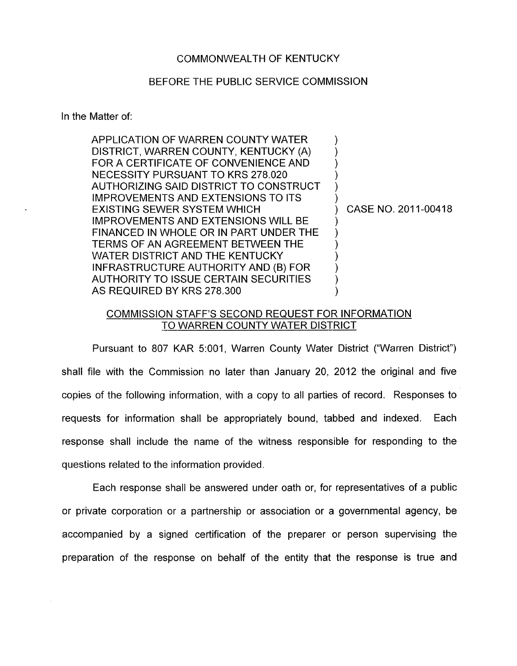## COMMONWEALTH OF KENTUCKY

## BEFORE THE PUBLIC SERVICE COMMISSION

In the Matter of:

| APPLICATION OF WARREN COUNTY WATER         |                     |
|--------------------------------------------|---------------------|
| DISTRICT, WARREN COUNTY, KENTUCKY (A)      |                     |
| FOR A CERTIFICATE OF CONVENIENCE AND       |                     |
| NECESSITY PURSUANT TO KRS 278.020          |                     |
| AUTHORIZING SAID DISTRICT TO CONSTRUCT     |                     |
| <b>IMPROVEMENTS AND EXTENSIONS TO ITS</b>  |                     |
| <b>EXISTING SEWER SYSTEM WHICH</b>         | CASE NO. 2011-00418 |
| <b>IMPROVEMENTS AND EXTENSIONS WILL BE</b> |                     |
| FINANCED IN WHOLE OR IN PART UNDER THE     |                     |
| TERMS OF AN AGREEMENT BETWEEN THE          |                     |
| WATER DISTRICT AND THE KENTUCKY            |                     |
| INFRASTRUCTURE AUTHORITY AND (B) FOR       |                     |
| AUTHORITY TO ISSUE CERTAIN SECURITIES      |                     |
| AS REQUIRED BY KRS 278.300                 |                     |
|                                            |                     |

## COMMISSION STAFF'S SECOND REQUEST FOR INFORMATION TO WARREN COUNTY WATER DISTRICT

Pursuant to 807 KAR 5:001, Warren County Water District ("Warren District") shall file with the Commission no later than January 20, 2012 the original and five copies of the following information, with a copy to all parties of record. Responses to requests for information shall be appropriately bound, tabbed and indexed. Each response shall include the name of the witness responsible for responding to the questions related to the information provided.

Each response shall be answered under oath or, for representatives of a public or private corporation or a partnership or association or a governmental agency, be accompanied by a signed certification of the preparer or person supervising the preparation of the response on behalf of the entity that the response is true and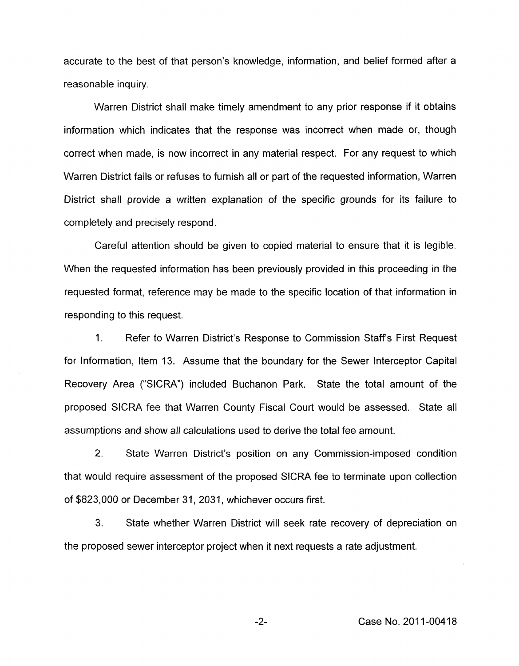accurate to the best of that person's knowledge, information, and belief formed after a reasonable inquiry.

Warren District shall make timely amendment to any prior response if it obtains information which indicates that the response was incorrect when made or, though correct when made, is now incorrect in any material respect. For any request to which Warren District fails or refuses to furnish all or part of the requested information, Warren District shall provide a written explanation of the specific grounds for its failure to completely and precisely respond.

Careful attention should be given to copied material to ensure that it is legible. When the requested information has been previously provided in this proceeding in the requested format, reference may be made to the specific location of that information in responding to this request.

1. Refer to Warren District's Response to Commission Staff's First Request for Information, Item 13. Assume that the boundary for the Sewer Interceptor Capital Recovery Area ("SICRA") included Buchanon Park. State the total amount of the proposed SICRA fee that Warren County Fiscal Court would be assessed. State all assumptions and show all calculations used to derive the total fee amount.

2. State Warren District's position on any Commission-imposed condition that would require assessment of the proposed SICRA fee to terminate upon collection of \$823,000 or December 31 , 2031, whichever occurs first.

**3.** State whether Warren District will seek rate recovery of depreciation on the proposed sewer interceptor project when it next requests a rate adjustment.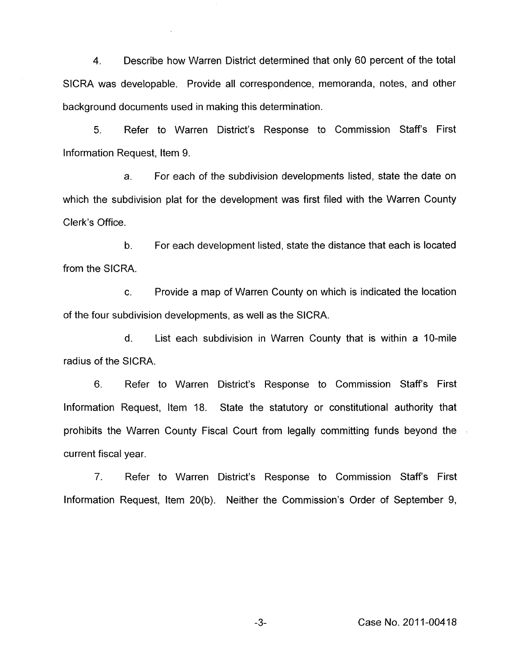**4.** Describe how Warren District determined that only 60 percent of the total SICRA was developable. Provide all correspondence, memoranda, notes, and other background documents used in making this determination.

5. Refer to Warren District's Response to Commission Staffs First Information Request, Item 9.

a. For each of the subdivision developments listed, state the date on which the subdivision plat for the development was first filed with the Warren County Clerk's Office.

b. For each development listed, state the distance that each is located from the SICRA.

c. Provide a map of Warren County on which is indicated the location of the four subdivision developments, as well as the SICRA.

d. List each subdivision in Warren County that is within a IO-mile radius of the SICRA.

6. Refer to Warren District's Response to Commission Staffs First Information Request, Item 18. State the statutory or constitutional authority that prohibits the Warren County Fiscal Court from legally committing funds beyond the current fiscal year.

7. Refer to Warren District's Response to Commission Staffs First Information Request, Item 20(b). Neither the Commission's Order of September 9,

**-3-** Case No. 201 1-0041 8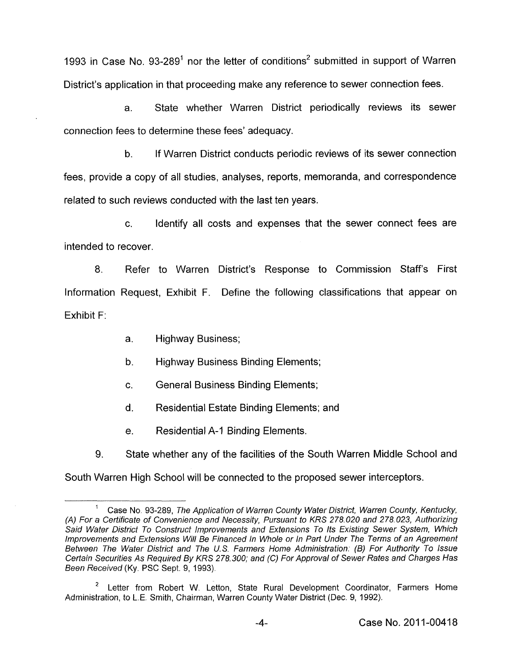1993 in Case No. 93-289<sup>1</sup> nor the letter of conditions<sup>2</sup> submitted in support of Warren District's application in that proceeding make any reference to sewer connection fees.

a. State whether Warren District periodically reviews its sewer connection fees to determine these fees' adequacy.

b. If Warren District conducts periodic reviews of its sewer connection fees, provide a copy of all studies, analyses, reports, memoranda, and correspondence related to such reviews conducted with the last ten years.

c. Identify all costs and expenses that the sewer connect fees are intended to recover.

8. Refer to Warren District's Response to Commission Staff's First Information Request, Exhibit F. Define the following classifications that appear on Exhibit F:

- a. Highway Business;
- b. Highway Business Binding Elements;
- c. General Business Binding Elements;
- d. Residential Estate Binding Elements; and
- e. Residential A-1 Binding Elements.

State whether any of the facilities of the South Warren Middle School and 9. South Warren High School will be connected to the proposed sewer interceptors.

Case No. 93-289, *The Application of Warren County Wafer District, Warren County, Kentucky, (A) For a Certificate of Convenience and Necessity, Pursuant to KRS 278.020 and 278.023, Authorizing Said Wafer District To Construct Improvements and Extensions To Its Existing Sewer System, Which Improvements and Extensions Will Be Financed In Whole or In Part Under The Terms of an Agreement Between The Water District and The U.S. Farmers Home Administration. (6) For Authority To Issue Certain Securities As Required By KRS 278.300; and (C) For Approval of Sewer Rates and Charges Has Been Received* **(Ky.** PSC Sept. 9, 1993). **1** 

Letter from Robert W. Letton, State Rural Development Coordinator, Farmers Home **2**  Administration, to L.E. Smith, Chairman, Warren County Water District (Dec. 9, 1992).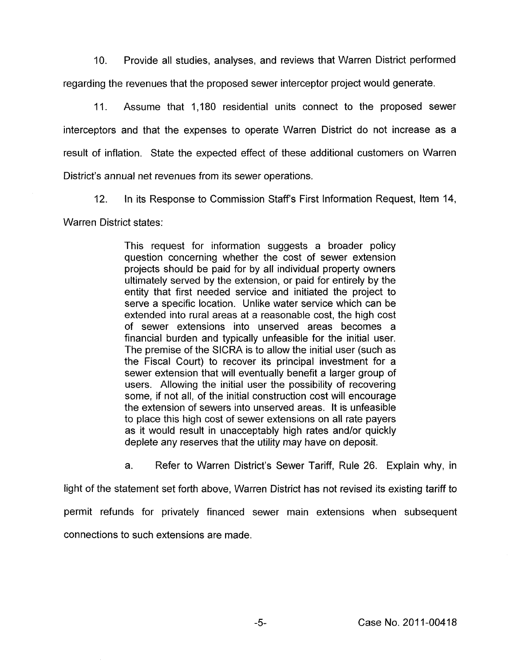IO. Provide all studies, analyses, and reviews that Warren District performed regarding the revenues that the proposed sewer interceptor project would generate.

11. Assume that 1,180 residential units connect to the proposed sewer interceptors and that the expenses to operate Warren District do not increase as a result of inflation. State the expected effect of these additional customers on Warren District's annual net revenues from its sewer operations.

12. In its Response to Commission Staff's First Information Request, Item 14,

Warren District states:

This request for information suggests a broader policy question concerning whether the cost of sewer extension projects should be paid for by all individual property owners ultimately served by the extension, or paid for entirely by the entity that first needed service and initiated the project to serve a specific location. Unlike water service which can be extended into rural areas at a reasonable cost, the high cost of sewer extensions into unserved areas becomes a financial burden and typically unfeasible for the initial user. The premise of the SICRA is to allow the initial user (such as the Fiscal Court) to recover its principal investment for a sewer extension that will eventually benefit a larger group of users. Allowing the initial user the possibility of recovering some, if not all, of the initial construction cost will encourage the extension of sewers into unserved areas. It is unfeasible to place this high cost of sewer extensions on all rate payers as it would result in unacceptably high rates and/or quickly deplete any reserves that the utility may have on deposit.

a. Refer to Warren District's Sewer Tariff, Rule 26. Explain why, in light of the statement set forth above, Warren District has not revised its existing tariff to permit refunds for privately financed sewer main extensions when subsequent connections to such extensions are made.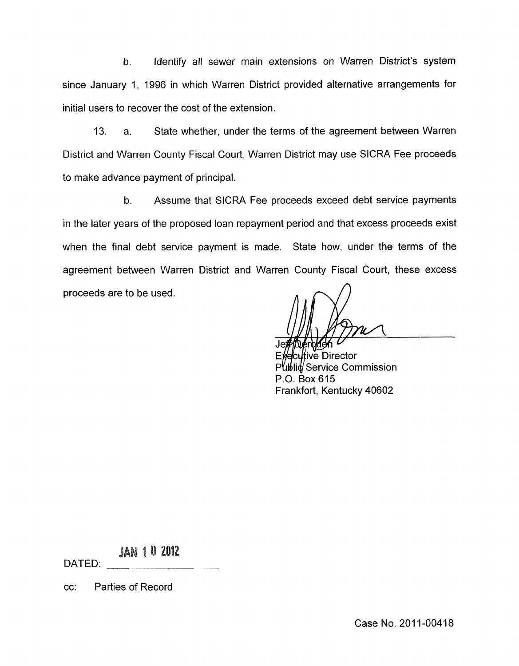b. Identify all sewer main extensions on Warren District's system since January 1, 1996 in which Warren District provided alternative arrangements for initial users to recover the cost of the extension.

13. a. State whether, under the terms of the agreement between Warren District and Warren County Fiscal Court, Warren District may use SICRA Fee proceeds to make advance payment of principal.

b. Assume that SICRA Fee proceeds exceed debt service payments in the later years of the proposed loan repayment period and that excess proceeds exist when the final debt service payment is made. State how, under the terms of the agreement between Warren District and Warren County Fiscal Court, these excess proceeds are to be used. *A* 

*r*e Director **Service Commission** P.O. Box 615 Frankfort, Kentucky 40602

**JAN 10 2012** 

DATED:

cc: Parties of Record